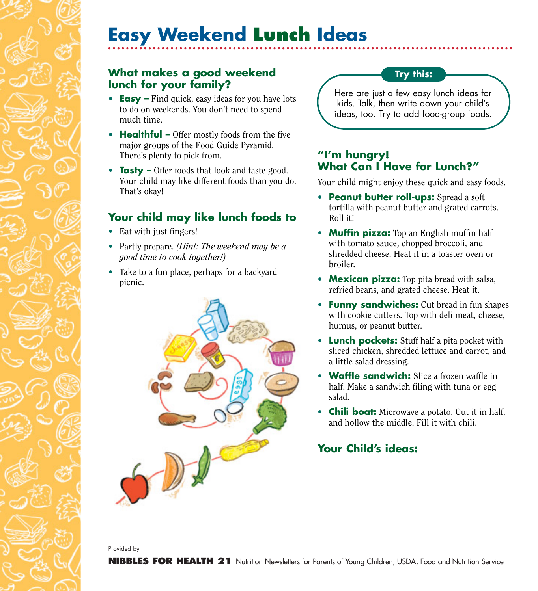# **Easy Weekend Lunch Ideas**

#### **What makes a good weekend lunch for your family?**

- **Easy** Find quick, easy ideas for you have lots to do on weekends. You don't need to spend much time.
- **Healthful** Offer mostly foods from the five major groups of the Food Guide Pyramid. There's plenty to pick from.
- **Tasty** Offer foods that look and taste good. Your child may like different foods than you do. That's okay!

### **Your child may like lunch foods to**

- Eat with just fingers!
- Partly prepare. *(Hint: The weekend may be a good time to cook together!)*
- Take to a fun place, perhaps for a backyard picnic.



#### **Try this:**

Here are just a few easy lunch ideas for kids. Talk, then write down your child's ideas, too. Try to add food-group foods.

#### **"I'm hungry! What Can I Have for Lunch?"**

Your child might enjoy these quick and easy foods.

- **Peanut butter roll-ups:** Spread a soft tortilla with peanut butter and grated carrots. Roll it!
- **Muffin pizza:** Top an English muffin half with tomato sauce, chopped broccoli, and shredded cheese. Heat it in a toaster oven or broiler.
- **Mexican pizza:** Top pita bread with salsa, refried beans, and grated cheese. Heat it.
- **Funny sandwiches:** Cut bread in fun shapes with cookie cutters. Top with deli meat, cheese, humus, or peanut butter.
- **Lunch pockets:** Stuff half a pita pocket with sliced chicken, shredded lettuce and carrot, and a little salad dressing.
- **Waffle sandwich:** Slice a frozen waffle in half. Make a sandwich filing with tuna or egg salad.
- **Chili boat:** Microwave a potato. Cut it in half, and hollow the middle. Fill it with chili.

## **Your Child's ideas:**

Provided by